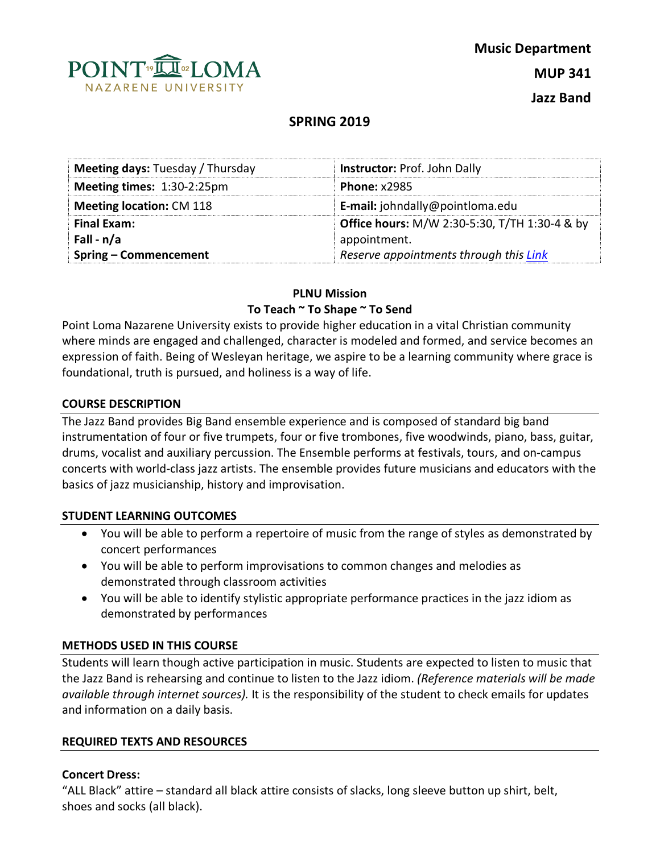

# **SPRING 2019**

| Meeting days: Tuesday / Thursday | Instructor: Prof. John Dally                             |
|----------------------------------|----------------------------------------------------------|
| Meeting times: 1:30-2:25pm       | <b>Phone: x2985</b>                                      |
| <b>Meeting location: CM 118</b>  | <b>E-mail:</b> johndally@pointloma.edu                   |
| Final Exam:                      | <b>Office hours: M/W 2:30-5:30, T/TH 1:30-4 &amp; by</b> |
| Fall - n/a                       | appointment.                                             |
| <b>Spring - Commencement</b>     | Reserve appointments through this Link                   |

# **PLNU Mission**

### **To Teach ~ To Shape ~ To Send**

Point Loma Nazarene University exists to provide higher education in a vital Christian community where minds are engaged and challenged, character is modeled and formed, and service becomes an expression of faith. Being of Wesleyan heritage, we aspire to be a learning community where grace is foundational, truth is pursued, and holiness is a way of life.

#### **COURSE DESCRIPTION**

The Jazz Band provides Big Band ensemble experience and is composed of standard big band instrumentation of four or five trumpets, four or five trombones, five woodwinds, piano, bass, guitar, drums, vocalist and auxiliary percussion. The Ensemble performs at festivals, tours, and on-campus concerts with world-class jazz artists. The ensemble provides future musicians and educators with the basics of jazz musicianship, history and improvisation.

### **STUDENT LEARNING OUTCOMES**

- You will be able to perform a repertoire of music from the range of styles as demonstrated by concert performances
- You will be able to perform improvisations to common changes and melodies as demonstrated through classroom activities
- You will be able to identify stylistic appropriate performance practices in the jazz idiom as demonstrated by performances

## **METHODS USED IN THIS COURSE**

Students will learn though active participation in music. Students are expected to listen to music that the Jazz Band is rehearsing and continue to listen to the Jazz idiom. *(Reference materials will be made available through internet sources).* It is the responsibility of the student to check emails for updates and information on a daily basis.

### **REQUIRED TEXTS AND RESOURCES**

### **Concert Dress:**

"ALL Black" attire – standard all black attire consists of slacks, long sleeve button up shirt, belt, shoes and socks (all black).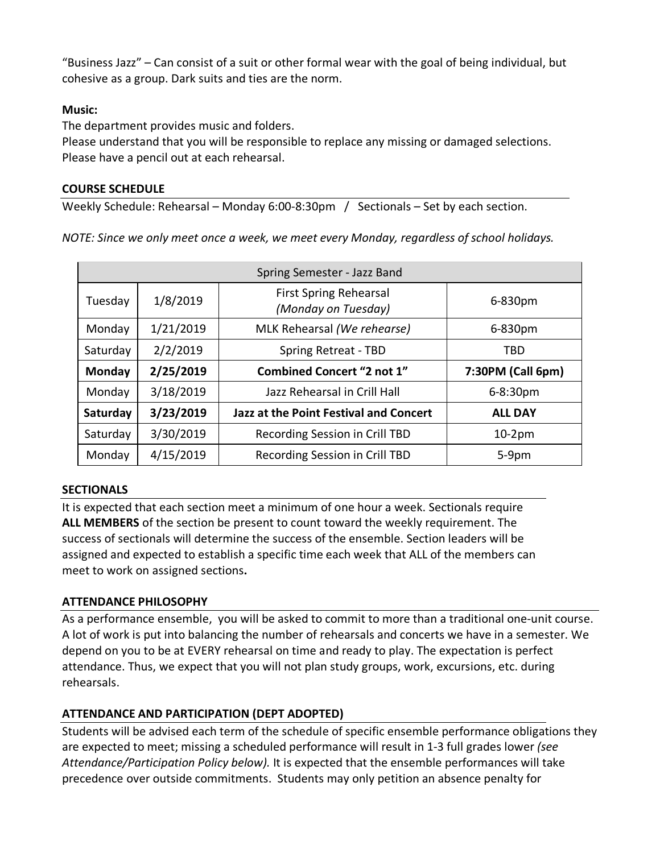"Business Jazz" – Can consist of a suit or other formal wear with the goal of being individual, but cohesive as a group. Dark suits and ties are the norm.

### **Music:**

The department provides music and folders.

Please understand that you will be responsible to replace any missing or damaged selections. Please have a pencil out at each rehearsal.

### **COURSE SCHEDULE**

Weekly Schedule: Rehearsal – Monday 6:00-8:30pm / Sectionals – Set by each section.

*NOTE: Since we only meet once a week, we meet every Monday, regardless of school holidays.*

| Spring Semester - Jazz Band |           |                                                                 |                   |  |
|-----------------------------|-----------|-----------------------------------------------------------------|-------------------|--|
| Tuesday                     | 1/8/2019  | <b>First Spring Rehearsal</b><br>6-830pm<br>(Monday on Tuesday) |                   |  |
| Monday                      | 1/21/2019 | MLK Rehearsal (We rehearse)                                     | 6-830pm           |  |
| Saturday                    | 2/2/2019  | Spring Retreat - TBD                                            | TBD               |  |
| Monday                      | 2/25/2019 | <b>Combined Concert "2 not 1"</b>                               | 7:30PM (Call 6pm) |  |
| Monday                      | 3/18/2019 | Jazz Rehearsal in Crill Hall                                    | $6 - 8:30$ pm     |  |
| Saturday                    | 3/23/2019 | Jazz at the Point Festival and Concert                          | <b>ALL DAY</b>    |  |
| Saturday                    | 3/30/2019 | Recording Session in Crill TBD                                  | $10-2pm$          |  |
| Monday                      | 4/15/2019 | Recording Session in Crill TBD                                  | $5-9pm$           |  |

### **SECTIONALS**

It is expected that each section meet a minimum of one hour a week. Sectionals require **ALL MEMBERS** of the section be present to count toward the weekly requirement. The success of sectionals will determine the success of the ensemble. Section leaders will be assigned and expected to establish a specific time each week that ALL of the members can meet to work on assigned sections**.** 

### **ATTENDANCE PHILOSOPHY**

As a performance ensemble, you will be asked to commit to more than a traditional one-unit course. A lot of work is put into balancing the number of rehearsals and concerts we have in a semester. We depend on you to be at EVERY rehearsal on time and ready to play. The expectation is perfect attendance. Thus, we expect that you will not plan study groups, work, excursions, etc. during rehearsals.

## **ATTENDANCE AND PARTICIPATION (DEPT ADOPTED)**

Students will be advised each term of the schedule of specific ensemble performance obligations they are expected to meet; missing a scheduled performance will result in 1-3 full grades lower *(see Attendance/Participation Policy below).* It is expected that the ensemble performances will take precedence over outside commitments. Students may only petition an absence penalty for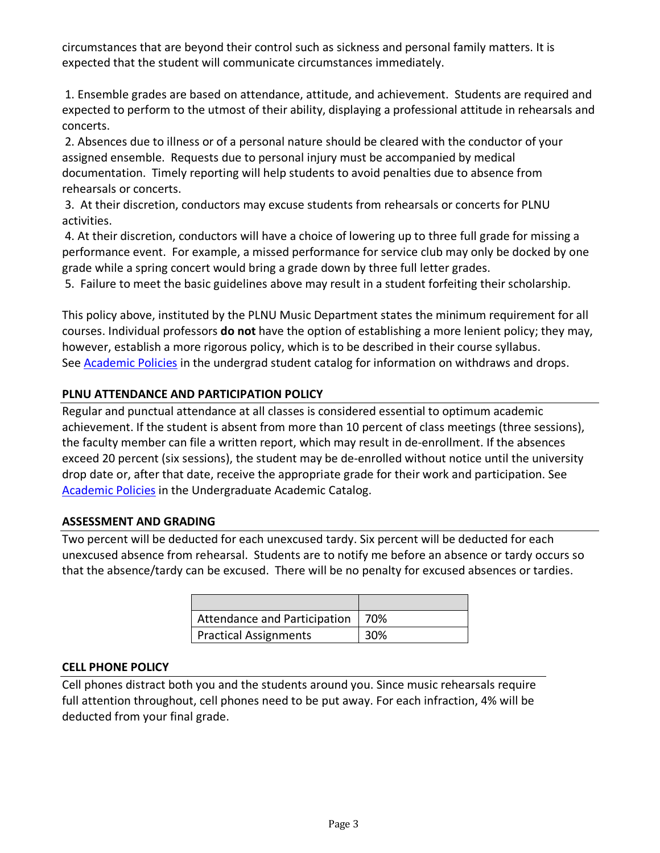circumstances that are beyond their control such as sickness and personal family matters. It is expected that the student will communicate circumstances immediately.

1. Ensemble grades are based on attendance, attitude, and achievement. Students are required and expected to perform to the utmost of their ability, displaying a professional attitude in rehearsals and concerts.

2. Absences due to illness or of a personal nature should be cleared with the conductor of your assigned ensemble. Requests due to personal injury must be accompanied by medical documentation. Timely reporting will help students to avoid penalties due to absence from rehearsals or concerts.

3. At their discretion, conductors may excuse students from rehearsals or concerts for PLNU activities.

4. At their discretion, conductors will have a choice of lowering up to three full grade for missing a performance event. For example, a missed performance for service club may only be docked by one grade while a spring concert would bring a grade down by three full letter grades.

5. Failure to meet the basic guidelines above may result in a student forfeiting their scholarship.

This policy above, instituted by the PLNU Music Department states the minimum requirement for all courses. Individual professors **do not** have the option of establishing a more lenient policy; they may, however, establish a more rigorous policy, which is to be described in their course syllabus. See Academic Policies in the undergrad student catalog for information on withdraws and drops.

### **PLNU ATTENDANCE AND PARTICIPATION POLICY**

Regular and punctual attendance at all classes is considered essential to optimum academic achievement. If the student is absent from more than 10 percent of class meetings (three sessions), the faculty member can file a written report, which may result in de-enrollment. If the absences exceed 20 percent (six sessions), the student may be de-enrolled without notice until the university drop date or, after that date, receive the appropriate grade for their work and participation. See Academic Policies in the Undergraduate Academic Catalog.

#### **ASSESSMENT AND GRADING**

Two percent will be deducted for each unexcused tardy. Six percent will be deducted for each unexcused absence from rehearsal. Students are to notify me before an absence or tardy occurs so that the absence/tardy can be excused. There will be no penalty for excused absences or tardies.

| Attendance and Participation   70% |     |
|------------------------------------|-----|
| <b>Practical Assignments</b>       | 30% |

### **CELL PHONE POLICY**

Cell phones distract both you and the students around you. Since music rehearsals require full attention throughout, cell phones need to be put away. For each infraction, 4% will be deducted from your final grade.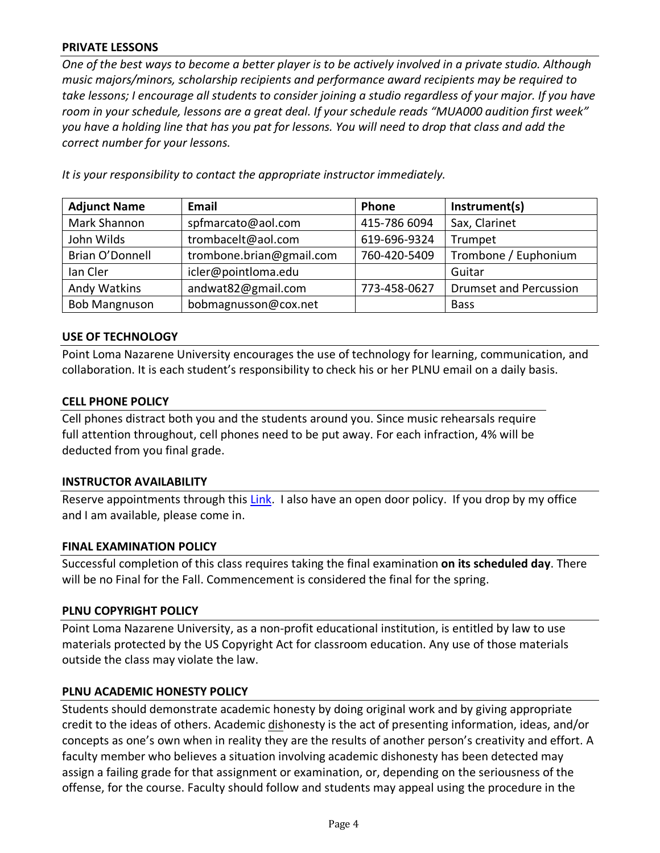#### **PRIVATE LESSONS**

*One of the best ways to become a better player is to be actively involved in a private studio. Although music majors/minors, scholarship recipients and performance award recipients may be required to take lessons; I encourage all students to consider joining a studio regardless of your major. If you have room in your schedule, lessons are a great deal. If your schedule reads "MUA000 audition first week" you have a holding line that has you pat for lessons. You will need to drop that class and add the correct number for your lessons.* 

| <b>Adjunct Name</b>  | Email                    | Phone        | Instrument(s)                 |
|----------------------|--------------------------|--------------|-------------------------------|
| Mark Shannon         | spfmarcato@aol.com       | 415-786 6094 | Sax, Clarinet                 |
| John Wilds           | trombacelt@aol.com       | 619-696-9324 | Trumpet                       |
| Brian O'Donnell      | trombone.brian@gmail.com | 760-420-5409 | Trombone / Euphonium          |
| lan Cler             | icler@pointloma.edu      |              | Guitar                        |
| Andy Watkins         | andwat82@gmail.com       | 773-458-0627 | <b>Drumset and Percussion</b> |
| <b>Bob Mangnuson</b> | bobmagnusson@cox.net     |              | <b>Bass</b>                   |

*It is your responsibility to contact the appropriate instructor immediately.* 

#### **USE OF TECHNOLOGY**

Point Loma Nazarene University encourages the use of technology for learning, communication, and collaboration. It is each student's responsibility to check his or her PLNU email on a daily basis.

#### **CELL PHONE POLICY**

Cell phones distract both you and the students around you. Since music rehearsals require full attention throughout, cell phones need to be put away. For each infraction, 4% will be deducted from you final grade.

#### **INSTRUCTOR AVAILABILITY**

Reserve appointments through this Link. I also have an open door policy. If you drop by my office and I am available, please come in.

#### **FINAL EXAMINATION POLICY**

Successful completion of this class requires taking the final examination **on its scheduled day**. There will be no Final for the Fall. Commencement is considered the final for the spring.

#### **PLNU COPYRIGHT POLICY**

Point Loma Nazarene University, as a non-profit educational institution, is entitled by law to use materials protected by the US Copyright Act for classroom education. Any use of those materials outside the class may violate the law.

#### **PLNU ACADEMIC HONESTY POLICY**

Students should demonstrate academic honesty by doing original work and by giving appropriate credit to the ideas of others. Academic dishonesty is the act of presenting information, ideas, and/or concepts as one's own when in reality they are the results of another person's creativity and effort. A faculty member who believes a situation involving academic dishonesty has been detected may assign a failing grade for that assignment or examination, or, depending on the seriousness of the offense, for the course. Faculty should follow and students may appeal using the procedure in the